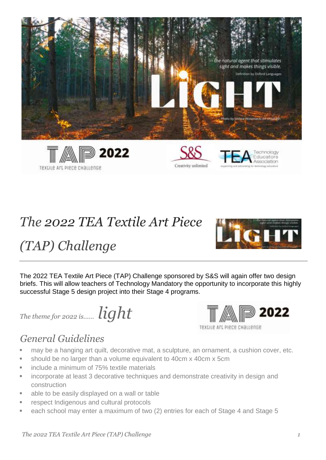

# *The 2022 TEA Textile Art Piece*



*(TAP) Challenge*

The 2022 TEA Textile Art Piece (TAP) Challenge sponsored by S&S will again offer two design briefs. This will allow teachers of Technology Mandatory the opportunity to incorporate this highly successful Stage 5 design project into their Stage 4 programs.

*The theme for 2022 is…… light* 

## 2022 TEXLILE ATL PIECE CHALLENGE

### *General Guidelines*

- may be a hanging art quilt, decorative mat, a sculpture, an ornament, a cushion cover, etc.
- should be no larger than a volume equivalent to 40cm x 40cm x 5cm
- include a minimum of 75% textile materials
- incorporate at least 3 decorative techniques and demonstrate creativity in design and construction
- able to be easily displayed on a wall or table
- respect Indigenous and cultural protocols
- each school may enter a maximum of two (2) entries for each of Stage 4 and Stage 5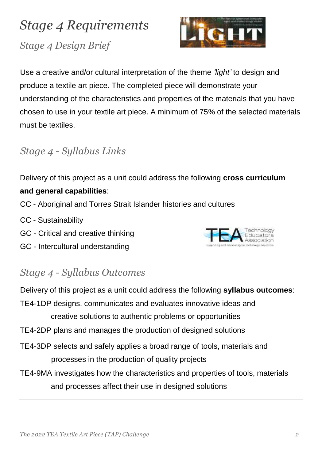# *Stage 4 Requirements Stage 4 Design Brief*



Use a creative and/or cultural interpretation of the theme *'light'* to design and produce a textile art piece. The completed piece will demonstrate your understanding of the characteristics and properties of the materials that you have chosen to use in your textile art piece. A minimum of 75% of the selected materials must be textiles.

### *Stage 4 - Syllabus Links*

Delivery of this project as a unit could address the following **cross curriculum and general capabilities**:

- CC Aboriginal and Torres Strait Islander histories and cultures
- CC Sustainability
- GC Critical and creative thinking
- GC Intercultural understanding



### *Stage 4 - Syllabus Outcomes*

Delivery of this project as a unit could address the following **syllabus outcomes**:

TE4-1DP designs, communicates and evaluates innovative ideas and

creative solutions to authentic problems or opportunities

- TE4-2DP plans and manages the production of designed solutions
- TE4-3DP selects and safely applies a broad range of tools, materials and processes in the production of quality projects
- TE4-9MA investigates how the characteristics and properties of tools, materials and processes affect their use in designed solutions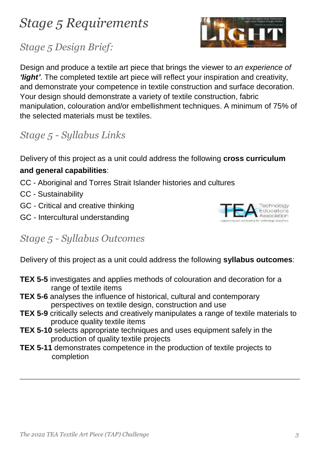## *Stage 5 Requirements*



### *Stage 5 Design Brief:*

Design and produce a textile art piece that brings the viewer to *an experience of 'light'*. The completed textile art piece will reflect your inspiration and creativity, and demonstrate your competence in textile construction and surface decoration. Your design should demonstrate a variety of textile construction, fabric manipulation, colouration and/or embellishment techniques. A minimum of 75% of the selected materials must be textiles.

*Stage 5 - Syllabus Links* 

Delivery of this project as a unit could address the following **cross curriculum** 

#### **and general capabilities**:

- CC Aboriginal and Torres Strait Islander histories and cultures
- CC Sustainability
- GC Critical and creative thinking
- GC Intercultural understanding



### *Stage 5 - Syllabus Outcomes*

Delivery of this project as a unit could address the following **syllabus outcomes**:

- **TEX 5-5** investigates and applies methods of colouration and decoration for a range of textile items
- **TEX 5-6** analyses the influence of historical, cultural and contemporary perspectives on textile design, construction and use
- **TEX 5-9** critically selects and creatively manipulates a range of textile materials to produce quality textile items
- **TEX 5-10** selects appropriate techniques and uses equipment safely in the production of quality textile projects
- **TEX 5-11** demonstrates competence in the production of textile projects to completion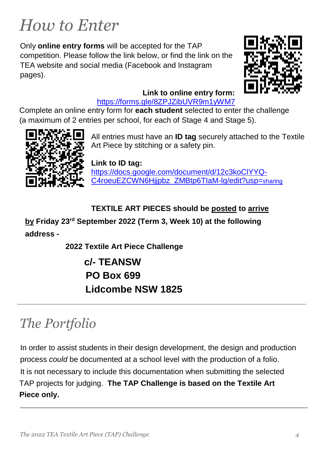# *How to Enter*

Only **online entry forms** will be accepted for the TAP competition. Please follow the link below, or find the link on the TEA website and social media (Facebook and Instagram pages).



#### **Link to online entry form:**

#### <https://forms.gle/8ZPJZibUVR9m1yWM7>

Complete an online entry form for **each student** selected to enter the challenge (a maximum of 2 entries per school, for each of Stage 4 and Stage 5).



All entries must have an **ID tag** securely attached to the Textile Art Piece by stitching or a safety pin.

#### **Link to ID tag:**

[https://docs.google.com/document/d/12c3koClYYQ-](https://docs.google.com/document/d/12c3koClYYQ-C4roeuEZCWN6Hjjpbz_ZMBtp6TIaM-lg/edit?usp=sharing)[C4roeuEZCWN6Hjjpbz\\_ZMBtp6TIaM-lg/edit?usp=](https://docs.google.com/document/d/12c3koClYYQ-C4roeuEZCWN6Hjjpbz_ZMBtp6TIaM-lg/edit?usp=sharing)sharing

### **TEXTILE ART PIECES should be posted to arrive**

**by Friday 23rd September 2022 (Term 3, Week 10) at the following address -**

 **2022 Textile Art Piece Challenge**

## **c/- TEANSW PO Box 699 Lidcombe NSW 1825**

# *The Portfolio*

In order to assist students in their design development, the design and production process *could* be documented at a school level with the production of a folio. It is not necessary to include this documentation when submitting the selected TAP projects for judging. **The TAP Challenge is based on the Textile Art Piece only.**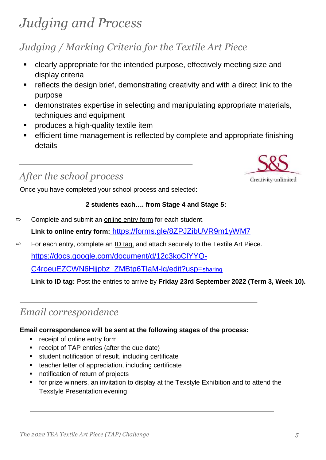# *Judging and Process*

## *Judging / Marking Criteria for the Textile Art Piece*

- clearly appropriate for the intended purpose, effectively meeting size and display criteria
- reflects the design brief, demonstrating creativity and with a direct link to the purpose
- demonstrates expertise in selecting and manipulating appropriate materials, techniques and equipment
- **•** produces a high-quality textile item
- efficient time management is reflected by complete and appropriate finishing details

## *After the school process*

Once you have completed your school process and selected:

#### **2 students each…. from Stage 4 and Stage 5:**

 $\Rightarrow$  Complete and submit an online entry form for each student.

Link to online entry form: <https://forms.gle/8ZPJZibUVR9m1yWM7>

 $\Rightarrow$  For each entry, complete an ID tag, and attach securely to the Textile Art Piece.

[https://docs.google.com/document/d/12c3koClYYQ-](https://docs.google.com/document/d/12c3koClYYQ-C4roeuEZCWN6Hjjpbz_ZMBtp6TIaM-lg/edit?usp=sharing)

[C4roeuEZCWN6Hjjpbz\\_ZMBtp6TIaM-lg/edit?usp=](https://docs.google.com/document/d/12c3koClYYQ-C4roeuEZCWN6Hjjpbz_ZMBtp6TIaM-lg/edit?usp=sharing)sharing

**Link to ID tag:** Post the entries to arrive by **Friday 23rd September 2022 (Term 3, Week 10).** 

## *Email correspondence*

#### **Email correspondence will be sent at the following stages of the process:**

- **•** receipt of online entry form
- **•** receipt of TAP entries (after the due date)
- **student notification of result, including certificate**
- teacher letter of appreciation, including certificate
- notification of return of projects
- for prize winners, an invitation to display at the Texstyle Exhibition and to attend the Texstyle Presentation evening